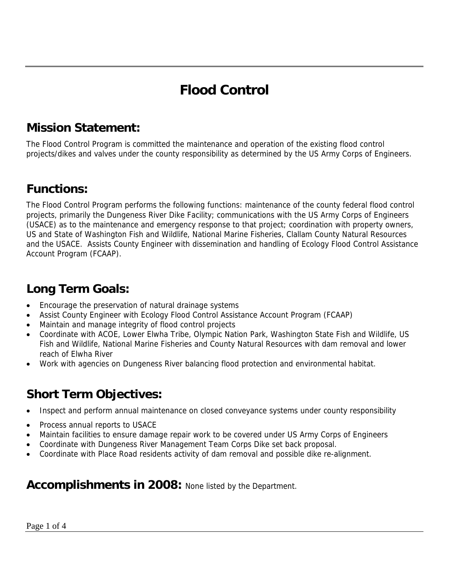# **Flood Control**

#### **Mission Statement:**

The Flood Control Program is committed the maintenance and operation of the existing flood control projects/dikes and valves under the county responsibility as determined by the US Army Corps of Engineers.

#### **Functions:**

The Flood Control Program performs the following functions: maintenance of the county federal flood control projects, primarily the Dungeness River Dike Facility; communications with the US Army Corps of Engineers (USACE) as to the maintenance and emergency response to that project; coordination with property owners, US and State of Washington Fish and Wildlife, National Marine Fisheries, Clallam County Natural Resources and the USACE. Assists County Engineer with dissemination and handling of Ecology Flood Control Assistance Account Program (FCAAP).

### **Long Term Goals:**

- Encourage the preservation of natural drainage systems
- Assist County Engineer with Ecology Flood Control Assistance Account Program (FCAAP)
- Maintain and manage integrity of flood control projects
- Coordinate with ACOE, Lower Elwha Tribe, Olympic Nation Park, Washington State Fish and Wildlife, US Fish and Wildlife, National Marine Fisheries and County Natural Resources with dam removal and lower reach of Elwha River
- Work with agencies on Dungeness River balancing flood protection and environmental habitat.

# **Short Term Objectives:**

- Inspect and perform annual maintenance on closed conveyance systems under county responsibility
- Process annual reports to USACE
- Maintain facilities to ensure damage repair work to be covered under US Army Corps of Engineers
- Coordinate with Dungeness River Management Team Corps Dike set back proposal.
- Coordinate with Place Road residents activity of dam removal and possible dike re-alignment.

#### **Accomplishments in 2008:** None listed by the Department.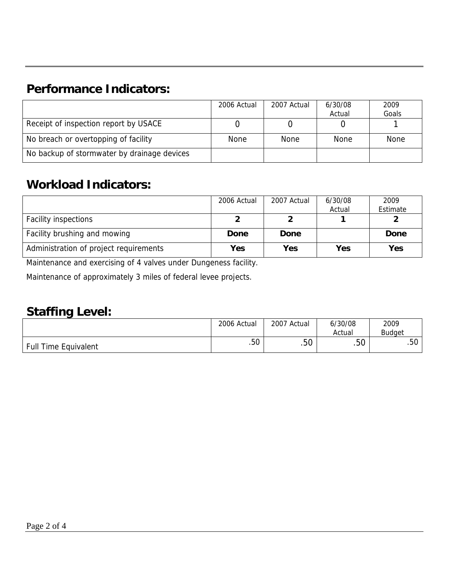## **Performance Indicators:**

|                                             | 2006 Actual | 2007 Actual | 6/30/08 | 2009        |
|---------------------------------------------|-------------|-------------|---------|-------------|
|                                             |             |             | Actual  | Goals       |
| Receipt of inspection report by USACE       |             |             |         |             |
| No breach or overtopping of facility        | <b>None</b> | <b>None</b> | None    | <b>None</b> |
| No backup of stormwater by drainage devices |             |             |         |             |

## **Workload Indicators:**

|                                        | 2006 Actual | 2007 Actual | 6/30/08 | 2009     |
|----------------------------------------|-------------|-------------|---------|----------|
|                                        |             |             | Actual  | Estimate |
| <b>Facility inspections</b>            |             |             |         |          |
| Facility brushing and mowing           | Done        | Done        |         | Done     |
| Administration of project requirements | Yes         | Yes         | Yes     | Yes      |

Maintenance and exercising of 4 valves under Dungeness facility.

Maintenance of approximately 3 miles of federal levee projects.

#### **Staffing Level:**

|                             | 2006 Actual | 2007 Actual | 6/30/08<br>Actual | 2009<br><b>Budget</b> |
|-----------------------------|-------------|-------------|-------------------|-----------------------|
| <b>Full Time Equivalent</b> | .50         | .50         | гΩ<br>.5U         | .50                   |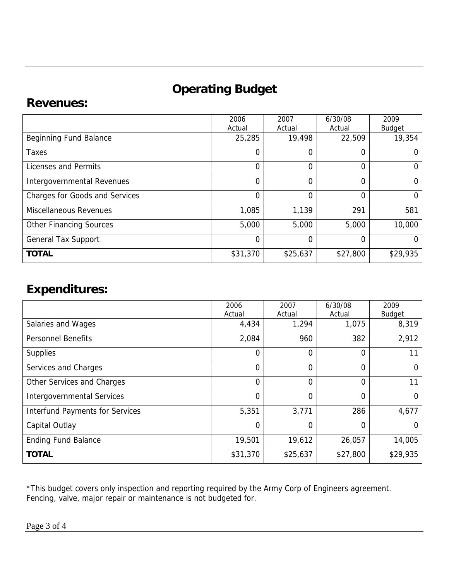# **Operating Budget**

#### **Revenues:**

|                                       | 2006           | 2007     | 6/30/08  | 2009          |
|---------------------------------------|----------------|----------|----------|---------------|
|                                       | Actual         | Actual   | Actual   | Budget        |
| Beginning Fund Balance                | 25,285         | 19,498   | 22,509   | 19,354        |
| Taxes                                 | 0              | 0        | 0        | O             |
| Licenses and Permits                  | $\overline{0}$ | 0        | 0        | $\Omega$      |
| Intergovernmental Revenues            | $\overline{0}$ | 0        | 0        | $\Omega$      |
| <b>Charges for Goods and Services</b> | 0              | 0        | 0        | $\Omega$      |
| <b>Miscellaneous Revenues</b>         | 1,085          | 1,139    | 291      | 581           |
| <b>Other Financing Sources</b>        | 5,000          | 5,000    | 5,000    | 10,000        |
| <b>General Tax Support</b>            | $\overline{0}$ | 0        | 0        | $\mathcal{O}$ |
| <b>TOTAL</b>                          | \$31,370       | \$25,637 | \$27,800 | \$29,935      |

#### **Expenditures:**

|                                        | 2006           | 2007     | 6/30/08        | 2009          |
|----------------------------------------|----------------|----------|----------------|---------------|
|                                        | Actual         | Actual   | Actual         | <b>Budget</b> |
| Salaries and Wages                     | 4,434          | 1,294    | 1,075          | 8,319         |
| <b>Personnel Benefits</b>              | 2,084          | 960      | 382            | 2,912         |
| <b>Supplies</b>                        | 0              | 0        | 0              | 11            |
| Services and Charges                   | 0              | 0        | $\Omega$       | $\Omega$      |
| Other Services and Charges             | $\overline{0}$ | 0        | $\overline{0}$ | 11            |
| <b>Intergovernmental Services</b>      | $\Omega$       | 0        | $\Omega$       | 0             |
| <b>Interfund Payments for Services</b> | 5,351          | 3,771    | 286            | 4,677         |
| Capital Outlay                         | 0              | 0        | 0              | 0             |
| <b>Ending Fund Balance</b>             | 19,501         | 19,612   | 26,057         | 14,005        |
| <b>TOTAL</b>                           | \$31,370       | \$25,637 | \$27,800       | \$29,935      |

\*This budget covers only inspection and reporting required by the Army Corp of Engineers agreement. Fencing, valve, major repair or maintenance is not budgeted for.